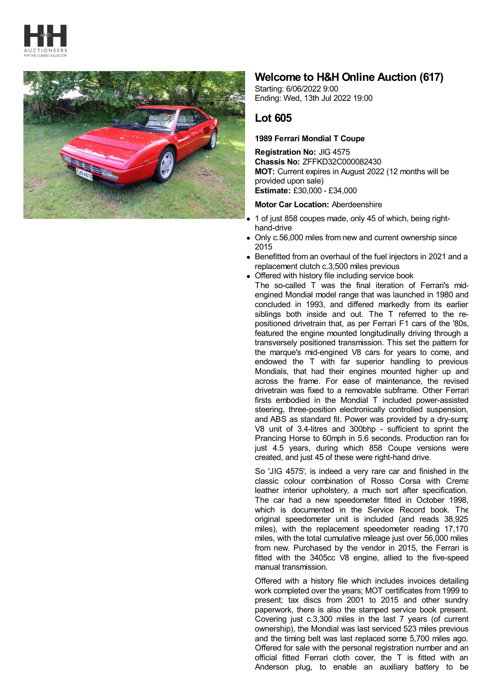



## **Welcome to H&H Online Auction (617)**

Starting: 6/06/2022 9:00 Ending: Wed, 13th Jul 2022 19:00

## **Lot 605**

## **1989 Ferrari Mondial T Coupe**

**Registration No:** JIG 4575 **Chassis No:** ZFFKD32C000082430 **MOT:** Current expires in August 2022 (12 months will be provided upon sale) **Estimate:** £30,000 - £34,000

## **Motor Car Location:** Aberdeenshire

- 1 of just 858 coupes made, only 45 of which, being righthand-drive
- Only c.56,000 miles from new and current ownership since 2015
- Benefitted from an overhaul of the fuel injectors in 2021 and a replacement clutch c.3,500 miles previous

Offered with history file including service book The so-called T was the final iteration of Ferrari's midengined Mondial model range that was launched in 1980 and concluded in 1993, and differed markedly from its earlier siblings both inside and out. The T referred to the repositioned drivetrain that, as per Ferrari F1 cars of the '80s, featured the engine mounted longitudinally driving through a transversely positioned transmission. This set the pattern for the marque's mid-engined V8 cars for years to come, and endowed the T with far superior handling to previous Mondials, that had their engines mounted higher up and across the frame. For ease of maintenance, the revised drivetrain was fixed to a removable subframe. Other Ferrari firsts embodied in the Mondial T included power-assisted steering, three-position electronically controlled suspension, and ABS as standard fit. Power was provided by a dry-sump V8 unit of 3.4-litres and 300bhp - sufficient to sprint the Prancing Horse to 60mph in 5.6 seconds. Production ran for just 4.5 years, during which 858 Coupe versions were created, and just 45 of these were right-hand drive.

So 'JIG 4575', is indeed a very rare car and finished in the classic colour combination of Rosso Corsa with Crema leather interior upholstery, a much sort after specification. The car had a new speedometer fitted in October 1998, which is documented in the Service Record book. The original speedometer unit is included (and reads 38,925 miles), with the replacement speedometer reading 17,170 miles, with the total cumulative mileage just over 56,000 miles from new. Purchased by the vendor in 2015, the Ferrari is fitted with the 3405cc V8 engine, allied to the five-speed manual transmission.

Offered with a history file which includes invoices detailing work completed over the years; MOT certificates from 1999 to present; tax discs from 2001 to 2015 and other sundry paperwork, there is also the stamped service book present. Covering just c.3,300 miles in the last 7 years (of current ownership), the Mondial was last serviced 523 miles previous and the timing belt was last replaced some 5,700 miles ago. Offered for sale with the personal registration number and an official fitted Ferrari cloth cover, the T is fitted with an Anderson plug, to enable an auxiliary battery to be